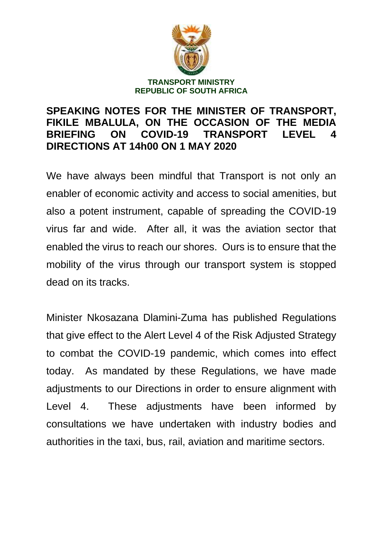

## **SPEAKING NOTES FOR THE MINISTER OF TRANSPORT, FIKILE MBALULA, ON THE OCCASION OF THE MEDIA BRIEFING ON COVID-19 TRANSPORT LEVEL 4 DIRECTIONS AT 14h00 ON 1 MAY 2020**

We have always been mindful that Transport is not only an enabler of economic activity and access to social amenities, but also a potent instrument, capable of spreading the COVID-19 virus far and wide. After all, it was the aviation sector that enabled the virus to reach our shores. Ours is to ensure that the mobility of the virus through our transport system is stopped dead on its tracks.

Minister Nkosazana Dlamini-Zuma has published Regulations that give effect to the Alert Level 4 of the Risk Adjusted Strategy to combat the COVID-19 pandemic, which comes into effect today. As mandated by these Regulations, we have made adjustments to our Directions in order to ensure alignment with Level 4. These adjustments have been informed by consultations we have undertaken with industry bodies and authorities in the taxi, bus, rail, aviation and maritime sectors.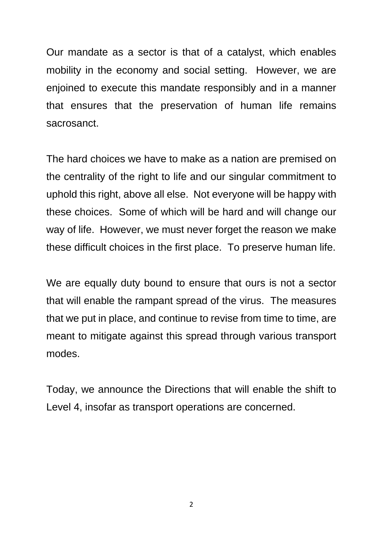Our mandate as a sector is that of a catalyst, which enables mobility in the economy and social setting. However, we are enjoined to execute this mandate responsibly and in a manner that ensures that the preservation of human life remains sacrosanct.

The hard choices we have to make as a nation are premised on the centrality of the right to life and our singular commitment to uphold this right, above all else. Not everyone will be happy with these choices. Some of which will be hard and will change our way of life. However, we must never forget the reason we make these difficult choices in the first place. To preserve human life.

We are equally duty bound to ensure that ours is not a sector that will enable the rampant spread of the virus. The measures that we put in place, and continue to revise from time to time, are meant to mitigate against this spread through various transport modes.

Today, we announce the Directions that will enable the shift to Level 4, insofar as transport operations are concerned.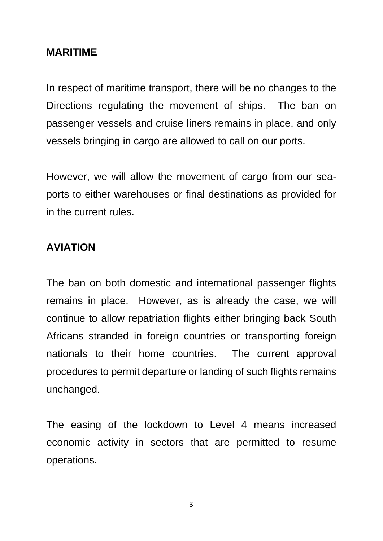#### **MARITIME**

In respect of maritime transport, there will be no changes to the Directions regulating the movement of ships. The ban on passenger vessels and cruise liners remains in place, and only vessels bringing in cargo are allowed to call on our ports.

However, we will allow the movement of cargo from our seaports to either warehouses or final destinations as provided for in the current rules.

#### **AVIATION**

The ban on both domestic and international passenger flights remains in place. However, as is already the case, we will continue to allow repatriation flights either bringing back South Africans stranded in foreign countries or transporting foreign nationals to their home countries. The current approval procedures to permit departure or landing of such flights remains unchanged.

The easing of the lockdown to Level 4 means increased economic activity in sectors that are permitted to resume operations.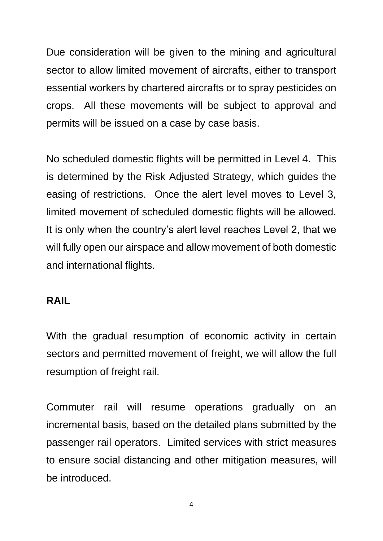Due consideration will be given to the mining and agricultural sector to allow limited movement of aircrafts, either to transport essential workers by chartered aircrafts or to spray pesticides on crops. All these movements will be subject to approval and permits will be issued on a case by case basis.

No scheduled domestic flights will be permitted in Level 4. This is determined by the Risk Adjusted Strategy, which guides the easing of restrictions. Once the alert level moves to Level 3, limited movement of scheduled domestic flights will be allowed. It is only when the country's alert level reaches Level 2, that we will fully open our airspace and allow movement of both domestic and international flights.

#### **RAIL**

With the gradual resumption of economic activity in certain sectors and permitted movement of freight, we will allow the full resumption of freight rail.

Commuter rail will resume operations gradually on an incremental basis, based on the detailed plans submitted by the passenger rail operators. Limited services with strict measures to ensure social distancing and other mitigation measures, will be introduced.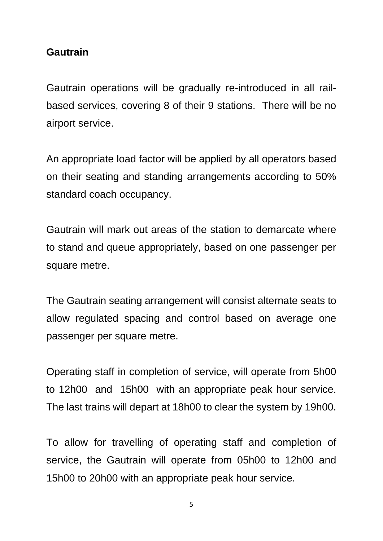## **Gautrain**

Gautrain operations will be gradually re-introduced in all railbased services, covering 8 of their 9 stations. There will be no airport service.

An appropriate load factor will be applied by all operators based on their seating and standing arrangements according to 50% standard coach occupancy.

Gautrain will mark out areas of the station to demarcate where to stand and queue appropriately, based on one passenger per square metre.

The Gautrain seating arrangement will consist alternate seats to allow regulated spacing and control based on average one passenger per square metre.

Operating staff in completion of service, will operate from 5h00 to 12h00 and 15h00 with an appropriate peak hour service. The last trains will depart at 18h00 to clear the system by 19h00.

To allow for travelling of operating staff and completion of service, the Gautrain will operate from 05h00 to 12h00 and 15h00 to 20h00 with an appropriate peak hour service.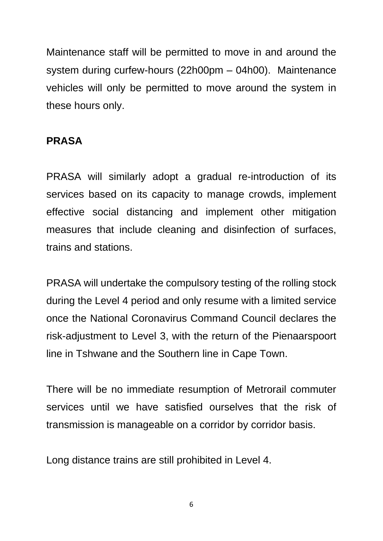Maintenance staff will be permitted to move in and around the system during curfew-hours (22h00pm – 04h00). Maintenance vehicles will only be permitted to move around the system in these hours only.

#### **PRASA**

PRASA will similarly adopt a gradual re-introduction of its services based on its capacity to manage crowds, implement effective social distancing and implement other mitigation measures that include cleaning and disinfection of surfaces, trains and stations.

PRASA will undertake the compulsory testing of the rolling stock during the Level 4 period and only resume with a limited service once the National Coronavirus Command Council declares the risk-adjustment to Level 3, with the return of the Pienaarspoort line in Tshwane and the Southern line in Cape Town.

There will be no immediate resumption of Metrorail commuter services until we have satisfied ourselves that the risk of transmission is manageable on a corridor by corridor basis.

Long distance trains are still prohibited in Level 4.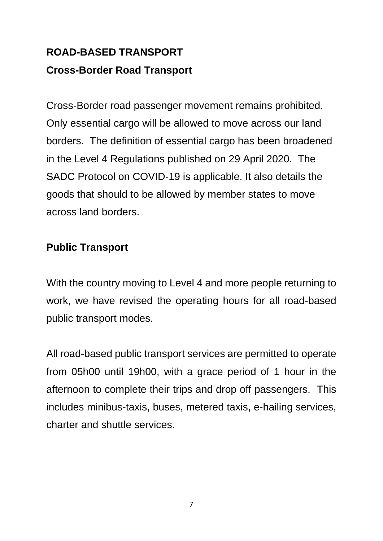# **ROAD-BASED TRANSPORT Cross-Border Road Transport**

Cross-Border road passenger movement remains prohibited. Only essential cargo will be allowed to move across our land borders. The definition of essential cargo has been broadened in the Level 4 Regulations published on 29 April 2020. The SADC Protocol on COVID-19 is applicable. It also details the goods that should to be allowed by member states to move across land borders.

# **Public Transport**

With the country moving to Level 4 and more people returning to work, we have revised the operating hours for all road-based public transport modes.

All road-based public transport services are permitted to operate from 05h00 until 19h00, with a grace period of 1 hour in the afternoon to complete their trips and drop off passengers. This includes minibus-taxis, buses, metered taxis, e-hailing services, charter and shuttle services.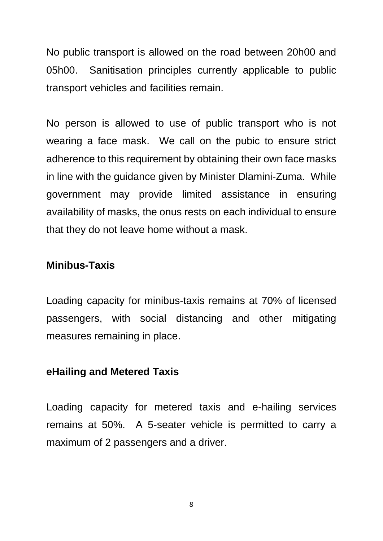No public transport is allowed on the road between 20h00 and 05h00. Sanitisation principles currently applicable to public transport vehicles and facilities remain.

No person is allowed to use of public transport who is not wearing a face mask. We call on the pubic to ensure strict adherence to this requirement by obtaining their own face masks in line with the guidance given by Minister Dlamini-Zuma. While government may provide limited assistance in ensuring availability of masks, the onus rests on each individual to ensure that they do not leave home without a mask.

#### **Minibus-Taxis**

Loading capacity for minibus-taxis remains at 70% of licensed passengers, with social distancing and other mitigating measures remaining in place.

#### **eHailing and Metered Taxis**

Loading capacity for metered taxis and e-hailing services remains at 50%. A 5-seater vehicle is permitted to carry a maximum of 2 passengers and a driver.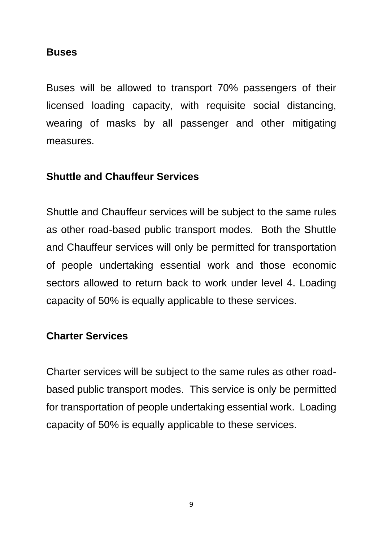#### **Buses**

Buses will be allowed to transport 70% passengers of their licensed loading capacity, with requisite social distancing, wearing of masks by all passenger and other mitigating measures.

# **Shuttle and Chauffeur Services**

Shuttle and Chauffeur services will be subject to the same rules as other road-based public transport modes. Both the Shuttle and Chauffeur services will only be permitted for transportation of people undertaking essential work and those economic sectors allowed to return back to work under level 4. Loading capacity of 50% is equally applicable to these services.

## **Charter Services**

Charter services will be subject to the same rules as other roadbased public transport modes. This service is only be permitted for transportation of people undertaking essential work. Loading capacity of 50% is equally applicable to these services.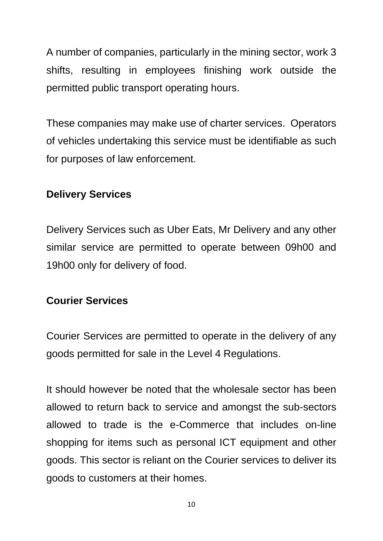A number of companies, particularly in the mining sector, work 3 shifts, resulting in employees finishing work outside the permitted public transport operating hours.

These companies may make use of charter services. Operators of vehicles undertaking this service must be identifiable as such for purposes of law enforcement.

## **Delivery Services**

Delivery Services such as Uber Eats, Mr Delivery and any other similar service are permitted to operate between 09h00 and 19h00 only for delivery of food.

# **Courier Services**

Courier Services are permitted to operate in the delivery of any goods permitted for sale in the Level 4 Regulations.

It should however be noted that the wholesale sector has been allowed to return back to service and amongst the sub-sectors allowed to trade is the e-Commerce that includes on-line shopping for items such as personal ICT equipment and other goods. This sector is reliant on the Courier services to deliver its goods to customers at their homes.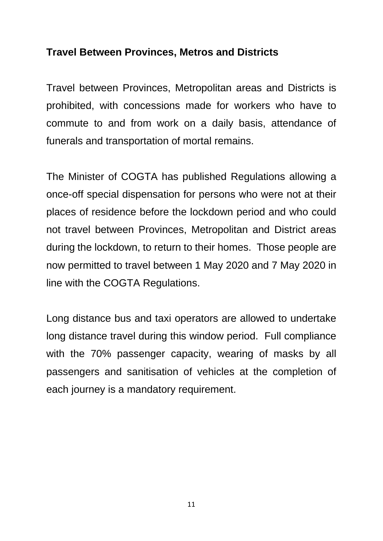#### **Travel Between Provinces, Metros and Districts**

Travel between Provinces, Metropolitan areas and Districts is prohibited, with concessions made for workers who have to commute to and from work on a daily basis, attendance of funerals and transportation of mortal remains.

The Minister of COGTA has published Regulations allowing a once-off special dispensation for persons who were not at their places of residence before the lockdown period and who could not travel between Provinces, Metropolitan and District areas during the lockdown, to return to their homes. Those people are now permitted to travel between 1 May 2020 and 7 May 2020 in line with the COGTA Regulations.

Long distance bus and taxi operators are allowed to undertake long distance travel during this window period. Full compliance with the 70% passenger capacity, wearing of masks by all passengers and sanitisation of vehicles at the completion of each journey is a mandatory requirement.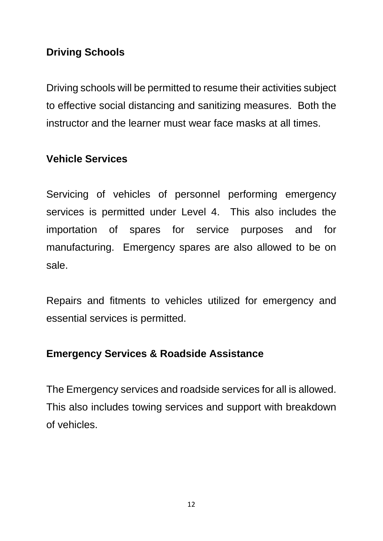# **Driving Schools**

Driving schools will be permitted to resume their activities subject to effective social distancing and sanitizing measures. Both the instructor and the learner must wear face masks at all times.

#### **Vehicle Services**

Servicing of vehicles of personnel performing emergency services is permitted under Level 4. This also includes the importation of spares for service purposes and for manufacturing. Emergency spares are also allowed to be on sale.

Repairs and fitments to vehicles utilized for emergency and essential services is permitted.

## **Emergency Services & Roadside Assistance**

The Emergency services and roadside services for all is allowed. This also includes towing services and support with breakdown of vehicles.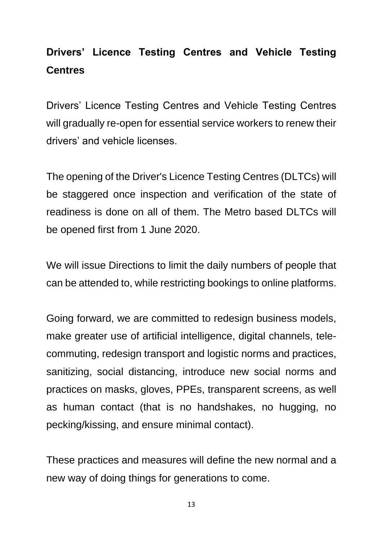# **Drivers' Licence Testing Centres and Vehicle Testing Centres**

Drivers' Licence Testing Centres and Vehicle Testing Centres will gradually re-open for essential service workers to renew their drivers' and vehicle licenses.

The opening of the Driver's Licence Testing Centres (DLTCs) will be staggered once inspection and verification of the state of readiness is done on all of them. The Metro based DLTCs will be opened first from 1 June 2020.

We will issue Directions to limit the daily numbers of people that can be attended to, while restricting bookings to online platforms.

Going forward, we are committed to redesign business models, make greater use of artificial intelligence, digital channels, telecommuting, redesign transport and logistic norms and practices, sanitizing, social distancing, introduce new social norms and practices on masks, gloves, PPEs, transparent screens, as well as human contact (that is no handshakes, no hugging, no pecking/kissing, and ensure minimal contact).

These practices and measures will define the new normal and a new way of doing things for generations to come.